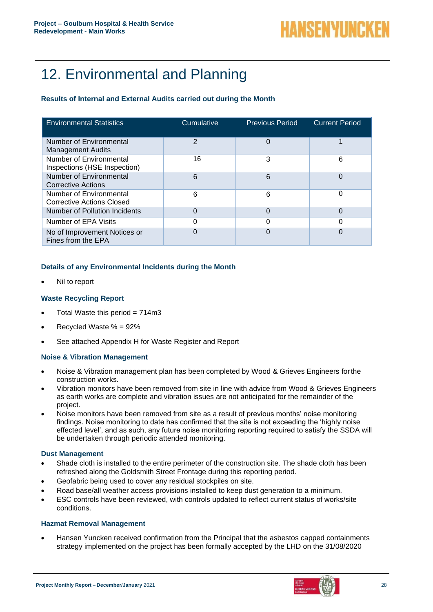# 12. Environmental and Planning

## **Results of Internal and External Audits carried out during the Month**

| <b>Environmental Statistics</b>                             | Cumulative     | <b>Previous Period</b> | <b>Current Period</b> |
|-------------------------------------------------------------|----------------|------------------------|-----------------------|
| Number of Environmental<br><b>Management Audits</b>         | $\overline{2}$ |                        |                       |
| Number of Environmental<br>Inspections (HSE Inspection)     | 16             | 3                      | 6                     |
| Number of Environmental<br>Corrective Actions               | 6              | 6                      | $\Omega$              |
| Number of Environmental<br><b>Corrective Actions Closed</b> | 6              | 6                      | 0                     |
| Number of Pollution Incidents                               | 0              |                        | 0                     |
| Number of EPA Visits                                        | 0              |                        | 0                     |
| No of Improvement Notices or<br>Fines from the EPA          | 0              |                        | $\Omega$              |

#### **Details of any Environmental Incidents during the Month**

• Nil to report

## **Waste Recycling Report**

- Total Waste this period  $= 714 \text{ m}$ 3
- Recycled Waste % = 92%
- See attached Appendix H for Waste Register and Report

#### **Noise & Vibration Management**

- Noise & Vibration management plan has been completed by Wood & Grieves Engineers forthe construction works.
- Vibration monitors have been removed from site in line with advice from Wood & Grieves Engineers as earth works are complete and vibration issues are not anticipated for the remainder of the project.
- Noise monitors have been removed from site as a result of previous months' noise monitoring findings. Noise monitoring to date has confirmed that the site is not exceeding the 'highly noise effected level', and as such, any future noise monitoring reporting required to satisfy the SSDA will be undertaken through periodic attended monitoring.

#### **Dust Management**

- Shade cloth is installed to the entire perimeter of the construction site. The shade cloth has been refreshed along the Goldsmith Street Frontage during this reporting period.
- Geofabric being used to cover any residual stockpiles on site.
- Road base/all weather access provisions installed to keep dust generation to a minimum.
- ESC controls have been reviewed, with controls updated to reflect current status of works/site conditions.

#### **Hazmat Removal Management**

• Hansen Yuncken received confirmation from the Principal that the asbestos capped containments strategy implemented on the project has been formally accepted by the LHD on the 31/08/2020